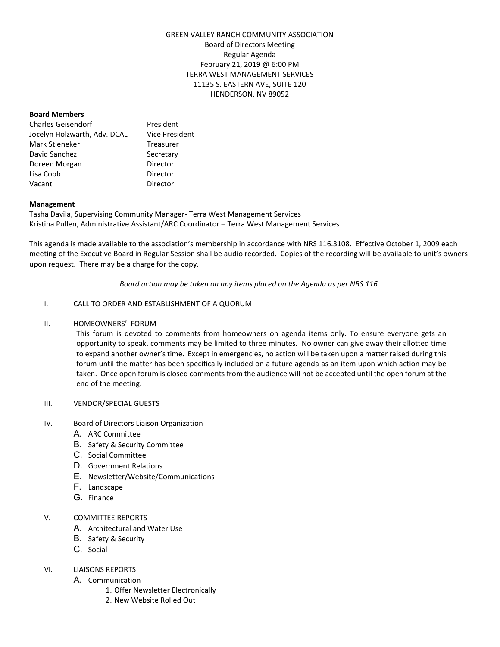# GREEN VALLEY RANCH COMMUNITY ASSOCIATION Board of Directors Meeting Regular Agenda February 21, 2019 @ 6:00 PM TERRA WEST MANAGEMENT SERVICES 11135 S. EASTERN AVE, SUITE 120 HENDERSON, NV 89052

#### **Board Members**

| Charles Geisendorf           | President             |
|------------------------------|-----------------------|
| Jocelyn Holzwarth, Adv. DCAL | <b>Vice President</b> |
| Mark Stieneker               | Treasurer             |
| David Sanchez                | Secretary             |
| Doreen Morgan                | Director              |
| Lisa Cobb                    | Director              |
| Vacant                       | Director              |

#### **Management**

Tasha Davila, Supervising Community Manager- Terra West Management Services Kristina Pullen, Administrative Assistant/ARC Coordinator – Terra West Management Services

This agenda is made available to the association's membership in accordance with NRS 116.3108. Effective October 1, 2009 each meeting of the Executive Board in Regular Session shall be audio recorded. Copies of the recording will be available to unit's owners upon request. There may be a charge for the copy.

*Board action may be taken on any items placed on the Agenda as per NRS 116.*

## I. CALL TO ORDER AND ESTABLISHMENT OF A QUORUM

#### II. HOMEOWNERS' FORUM

This forum is devoted to comments from homeowners on agenda items only. To ensure everyone gets an opportunity to speak, comments may be limited to three minutes. No owner can give away their allotted time to expand another owner's time. Except in emergencies, no action will be taken upon a matter raised during this forum until the matter has been specifically included on a future agenda as an item upon which action may be taken. Once open forum is closed comments from the audience will not be accepted until the open forum at the end of the meeting.

#### III. VENDOR/SPECIAL GUESTS

- IV. Board of Directors Liaison Organization
	- A. ARC Committee
	- B. Safety & Security Committee
	- C. Social Committee
	- D. Government Relations
	- E. Newsletter/Website/Communications
	- F. Landscape
	- G. Finance

## V. COMMITTEE REPORTS

- A. Architectural and Water Use
- B. Safety & Security
- C. Social

## VI. LIAISONS REPORTS

- A. Communication
	- 1. Offer Newsletter Electronically
	- 2. New Website Rolled Out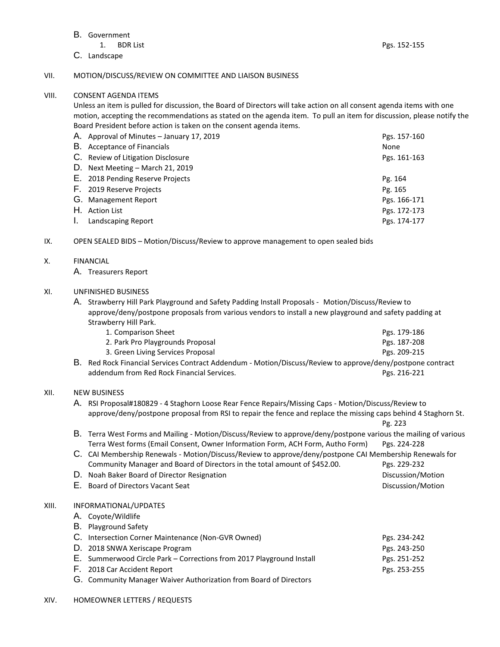#### B. Government

1. BDR List Pgs. 152-155

C. Landscape

# VII. MOTION/DISCUSS/REVIEW ON COMMITTEE AND LIAISON BUSINESS

## VIII. CONSENT AGENDA ITEMS

Unless an item is pulled for discussion, the Board of Directors will take action on all consent agenda items with one motion, accepting the recommendations as stated on the agenda item. To pull an item for discussion, please notify the Board President before action is taken on the consent agenda items.

| Pgs. 157-160                                                                                                                                                                                                                                                                                     |
|--------------------------------------------------------------------------------------------------------------------------------------------------------------------------------------------------------------------------------------------------------------------------------------------------|
| None                                                                                                                                                                                                                                                                                             |
| Pgs. 161-163                                                                                                                                                                                                                                                                                     |
|                                                                                                                                                                                                                                                                                                  |
| Pg. 164                                                                                                                                                                                                                                                                                          |
| Pg. 165                                                                                                                                                                                                                                                                                          |
| Pgs. 166-171                                                                                                                                                                                                                                                                                     |
| Pgs. 172-173                                                                                                                                                                                                                                                                                     |
| Pgs. 174-177                                                                                                                                                                                                                                                                                     |
| A. Approval of Minutes - January 17, 2019<br><b>B.</b> Acceptance of Financials<br>C. Review of Litigation Disclosure<br>D. Next Meeting – March 21, 2019<br>E. 2018 Pending Reserve Projects<br>F. 2019 Reserve Projects<br>G. Management Report<br>H. Action List<br><b>Landscaping Report</b> |

IX. OPEN SEALED BIDS – Motion/Discuss/Review to approve management to open sealed bids

# X. FINANCIAL

A. Treasurers Report

# XI. UNFINISHED BUSINESS

A. Strawberry Hill Park Playground and Safety Padding Install Proposals - Motion/Discuss/Review to approve/deny/postpone proposals from various vendors to install a new playground and safety padding at Strawberry Hill Park.

|    | 1. Comparison Sheet                                                                                     | Pgs. 179-186 |  |
|----|---------------------------------------------------------------------------------------------------------|--------------|--|
|    | 2. Park Pro Playgrounds Proposal                                                                        | Pgs. 187-208 |  |
|    | 3. Green Living Services Proposal                                                                       | Pgs. 209-215 |  |
| В. | Red Rock Financial Services Contract Addendum - Motion/Discuss/Review to approve/deny/postpone contract |              |  |

addendum from Red Rock Financial Services. **Pgs. 216-221** Pgs. 216-221

## XII. NEW BUSINESS

A. RSI Proposal#180829 - 4 Staghorn Loose Rear Fence Repairs/Missing Caps - Motion/Discuss/Review to approve/deny/postpone proposal from RSI to repair the fence and replace the missing caps behind 4 Staghorn St.

Pg. 223

# B. Terra West Forms and Mailing - Motion/Discuss/Review to approve/deny/postpone various the mailing of various Terra West forms (Email Consent, Owner Information Form, ACH Form, Autho Form) Pgs. 224-228

- C. CAI Membership Renewals Motion/Discuss/Review to approve/deny/postpone CAI Membership Renewals for Community Manager and Board of Directors in the total amount of \$452.00. Pgs. 229-232
- D. Noah Baker Board of Director Resignation Discussion Additional Discussion Motion
	- E. Board of Directors Vacant Seat Discussion/Motion

## XIII. INFORMATIONAL/UPDATES

- A. Coyote/Wildlife
- B. Playground Safety

| C. Intersection Corner Maintenance (Non-GVR Owned)                   | Pgs. 234-242 |
|----------------------------------------------------------------------|--------------|
| D. 2018 SNWA Xeriscape Program                                       | Pgs. 243-250 |
| E. Summerwood Circle Park – Corrections from 2017 Playground Install | Pgs. 251-252 |

- F. 2018 Car Accident Report **Pgs. 253-255** 
	- G. Community Manager Waiver Authorization from Board of Directors
- XIV. HOMEOWNER LETTERS / REQUESTS